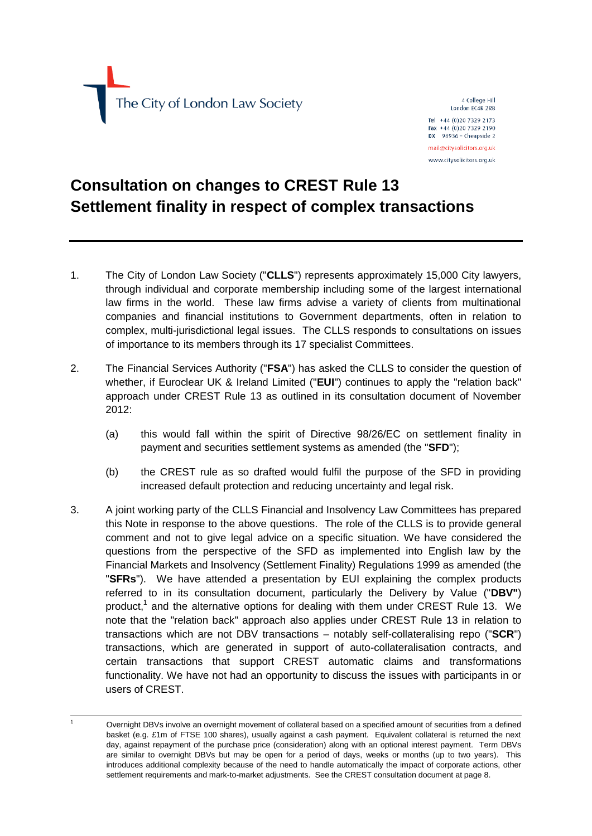The City of London Law Society

4 College Hill London EC4R 2RB

Tel +44 (0)20 7329 2173 Fax +44 (0)20 7329 2190 DX 98936 - Cheapside 2 mail@citysolicitors.org.uk

www.citysolicitors.org.uk

## **Consultation on changes to CREST Rule 13 Settlement finality in respect of complex transactions**

- 1. The City of London Law Society ("**CLLS**") represents approximately 15,000 City lawyers, through individual and corporate membership including some of the largest international law firms in the world. These law firms advise a variety of clients from multinational companies and financial institutions to Government departments, often in relation to complex, multi-jurisdictional legal issues. The CLLS responds to consultations on issues of importance to its members through its 17 specialist Committees.
- 2. The Financial Services Authority ("**FSA**") has asked the CLLS to consider the question of whether, if Euroclear UK & Ireland Limited ("**EUI**") continues to apply the "relation back" approach under CREST Rule 13 as outlined in its consultation document of November 2012:
	- (a) this would fall within the spirit of Directive 98/26/EC on settlement finality in payment and securities settlement systems as amended (the "**SFD**");
	- (b) the CREST rule as so drafted would fulfil the purpose of the SFD in providing increased default protection and reducing uncertainty and legal risk.
- 3. A joint working party of the CLLS Financial and Insolvency Law Committees has prepared this Note in response to the above questions. The role of the CLLS is to provide general comment and not to give legal advice on a specific situation. We have considered the questions from the perspective of the SFD as implemented into English law by the Financial Markets and Insolvency (Settlement Finality) Regulations 1999 as amended (the "**SFRs**"). We have attended a presentation by EUI explaining the complex products referred to in its consultation document, particularly the Delivery by Value ("**DBV"**) product,<sup>1</sup> and the alternative options for dealing with them under CREST Rule 13. We note that the "relation back" approach also applies under CREST Rule 13 in relation to transactions which are not DBV transactions – notably self-collateralising repo ("**SCR**") transactions, which are generated in support of auto-collateralisation contracts, and certain transactions that support CREST automatic claims and transformations functionality. We have not had an opportunity to discuss the issues with participants in or users of CREST.

Overnight DBVs involve an overnight movement of collateral based on a specified amount of securities from a defined basket (e.g. £1m of FTSE 100 shares), usually against a cash payment. Equivalent collateral is returned the next day, against repayment of the purchase price (consideration) along with an optional interest payment. Term DBVs are similar to overnight DBVs but may be open for a period of days, weeks or months (up to two years). This introduces additional complexity because of the need to handle automatically the impact of corporate actions, other settlement requirements and mark-to-market adjustments. See the CREST consultation document at page 8.

 $\overline{a}$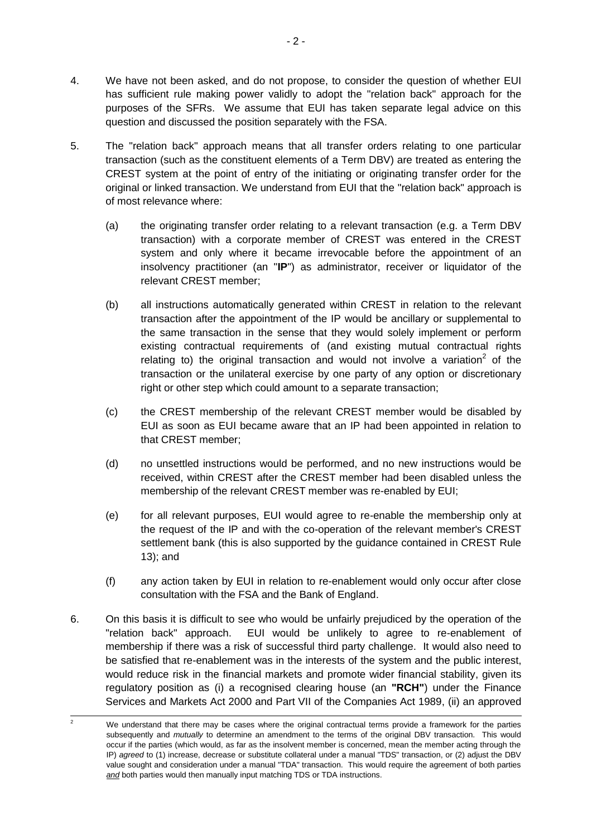- 4. We have not been asked, and do not propose, to consider the question of whether EUI has sufficient rule making power validly to adopt the "relation back" approach for the purposes of the SFRs. We assume that EUI has taken separate legal advice on this question and discussed the position separately with the FSA.
- 5. The "relation back" approach means that all transfer orders relating to one particular transaction (such as the constituent elements of a Term DBV) are treated as entering the CREST system at the point of entry of the initiating or originating transfer order for the original or linked transaction. We understand from EUI that the "relation back" approach is of most relevance where:
	- (a) the originating transfer order relating to a relevant transaction (e.g. a Term DBV transaction) with a corporate member of CREST was entered in the CREST system and only where it became irrevocable before the appointment of an insolvency practitioner (an "**IP**") as administrator, receiver or liquidator of the relevant CREST member;
	- (b) all instructions automatically generated within CREST in relation to the relevant transaction after the appointment of the IP would be ancillary or supplemental to the same transaction in the sense that they would solely implement or perform existing contractual requirements of (and existing mutual contractual rights relating to) the original transaction and would not involve a variation<sup>2</sup> of the transaction or the unilateral exercise by one party of any option or discretionary right or other step which could amount to a separate transaction;
	- (c) the CREST membership of the relevant CREST member would be disabled by EUI as soon as EUI became aware that an IP had been appointed in relation to that CREST member;
	- (d) no unsettled instructions would be performed, and no new instructions would be received, within CREST after the CREST member had been disabled unless the membership of the relevant CREST member was re-enabled by EUI;
	- (e) for all relevant purposes, EUI would agree to re-enable the membership only at the request of the IP and with the co-operation of the relevant member's CREST settlement bank (this is also supported by the guidance contained in CREST Rule 13); and
	- (f) any action taken by EUI in relation to re-enablement would only occur after close consultation with the FSA and the Bank of England.
- 6. On this basis it is difficult to see who would be unfairly prejudiced by the operation of the "relation back" approach. EUI would be unlikely to agree to re-enablement of membership if there was a risk of successful third party challenge. It would also need to be satisfied that re-enablement was in the interests of the system and the public interest, would reduce risk in the financial markets and promote wider financial stability, given its regulatory position as (i) a recognised clearing house (an **"RCH"**) under the Finance Services and Markets Act 2000 and Part VII of the Companies Act 1989, (ii) an approved

 $\overline{2}$ We understand that there may be cases where the original contractual terms provide a framework for the parties subsequently and *mutually* to determine an amendment to the terms of the original DBV transaction. This would occur if the parties (which would, as far as the insolvent member is concerned, mean the member acting through the IP) *agreed* to (1) increase, decrease or substitute collateral under a manual "TDS" transaction, or (2) adjust the DBV value sought and consideration under a manual "TDA" transaction. This would require the agreement of both parties and both parties would then manually input matching TDS or TDA instructions.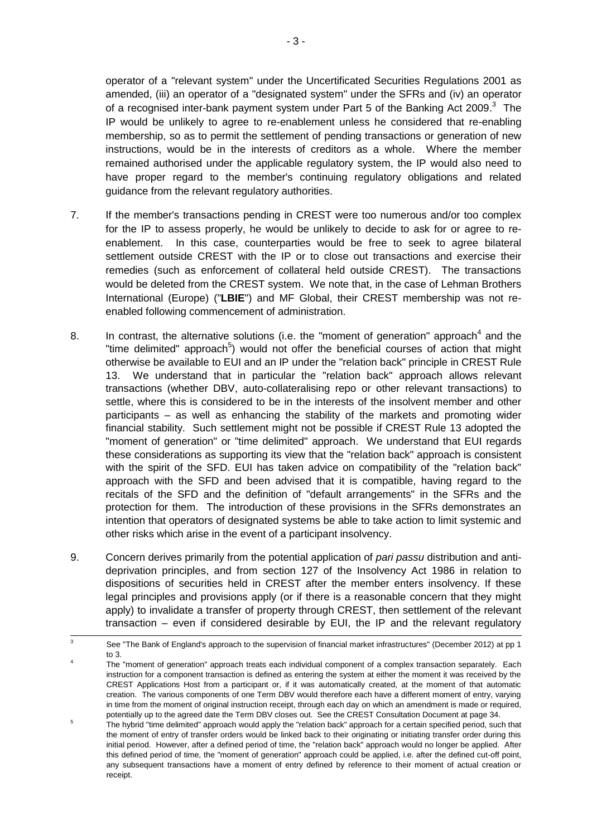operator of a "relevant system" under the Uncertificated Securities Regulations 2001 as amended, (iii) an operator of a "designated system" under the SFRs and (iv) an operator of a recognised inter-bank payment system under Part 5 of the Banking Act 2009.<sup>3</sup> The IP would be unlikely to agree to re-enablement unless he considered that re-enabling membership, so as to permit the settlement of pending transactions or generation of new instructions, would be in the interests of creditors as a whole. Where the member remained authorised under the applicable regulatory system, the IP would also need to have proper regard to the member's continuing regulatory obligations and related guidance from the relevant regulatory authorities.

- 7. If the member's transactions pending in CREST were too numerous and/or too complex for the IP to assess properly, he would be unlikely to decide to ask for or agree to reenablement. In this case, counterparties would be free to seek to agree bilateral settlement outside CREST with the IP or to close out transactions and exercise their remedies (such as enforcement of collateral held outside CREST). The transactions would be deleted from the CREST system. We note that, in the case of Lehman Brothers International (Europe) ("**LBIE**") and MF Global, their CREST membership was not reenabled following commencement of administration.
- 8. In contrast, the alternative solutions (i.e. the "moment of generation" approach<sup>4</sup> and the "time delimited" approach<sup>5</sup>) would not offer the beneficial courses of action that might otherwise be available to EUI and an IP under the "relation back" principle in CREST Rule 13. We understand that in particular the "relation back" approach allows relevant transactions (whether DBV, auto-collateralising repo or other relevant transactions) to settle, where this is considered to be in the interests of the insolvent member and other participants – as well as enhancing the stability of the markets and promoting wider financial stability. Such settlement might not be possible if CREST Rule 13 adopted the "moment of generation" or "time delimited" approach. We understand that EUI regards these considerations as supporting its view that the "relation back" approach is consistent with the spirit of the SFD. EUI has taken advice on compatibility of the "relation back" approach with the SFD and been advised that it is compatible, having regard to the recitals of the SFD and the definition of "default arrangements" in the SFRs and the protection for them. The introduction of these provisions in the SFRs demonstrates an intention that operators of designated systems be able to take action to limit systemic and other risks which arise in the event of a participant insolvency.
- 9. Concern derives primarily from the potential application of *pari passu* distribution and antideprivation principles, and from section 127 of the Insolvency Act 1986 in relation to dispositions of securities held in CREST after the member enters insolvency. If these legal principles and provisions apply (or if there is a reasonable concern that they might apply) to invalidate a transfer of property through CREST, then settlement of the relevant transaction – even if considered desirable by EUI, the IP and the relevant regulatory

 $\overline{a}$ 

<sup>3</sup> See "The Bank of England's approach to the supervision of financial market infrastructures" (December 2012) at pp 1 to 3.

<sup>4</sup> The "moment of generation" approach treats each individual component of a complex transaction separately. Each instruction for a component transaction is defined as entering the system at either the moment it was received by the CREST Applications Host from a participant or, if it was automatically created, at the moment of that automatic creation. The various components of one Term DBV would therefore each have a different moment of entry, varying in time from the moment of original instruction receipt, through each day on which an amendment is made or required, potentially up to the agreed date the Term DBV closes out. See the CREST Consultation Document at page 34.

<sup>5</sup> The hybrid "time delimited" approach would apply the "relation back" approach for a certain specified period, such that the moment of entry of transfer orders would be linked back to their originating or initiating transfer order during this initial period. However, after a defined period of time, the "relation back" approach would no longer be applied. After this defined period of time, the "moment of generation" approach could be applied, i.e. after the defined cut-off point, any subsequent transactions have a moment of entry defined by reference to their moment of actual creation or receipt.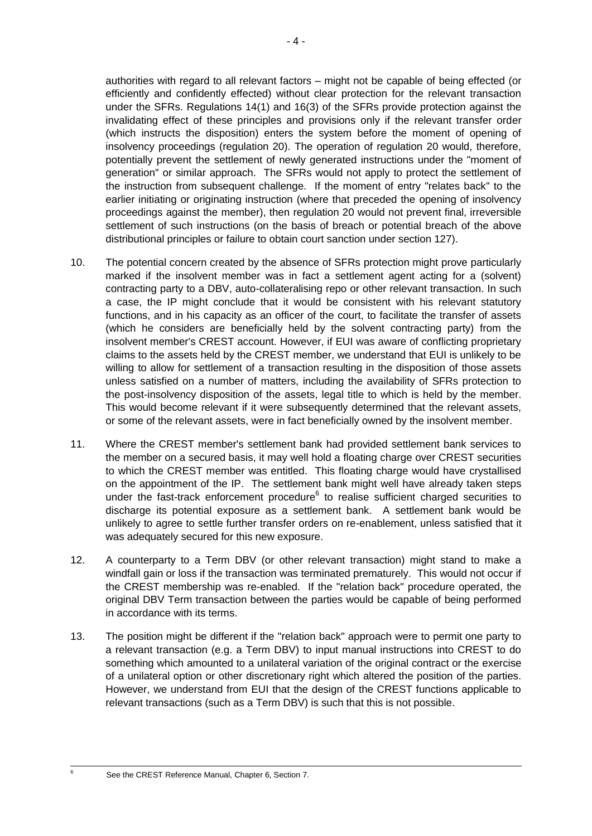authorities with regard to all relevant factors – might not be capable of being effected (or efficiently and confidently effected) without clear protection for the relevant transaction under the SFRs. Regulations 14(1) and 16(3) of the SFRs provide protection against the invalidating effect of these principles and provisions only if the relevant transfer order (which instructs the disposition) enters the system before the moment of opening of insolvency proceedings (regulation 20). The operation of regulation 20 would, therefore, potentially prevent the settlement of newly generated instructions under the "moment of generation" or similar approach. The SFRs would not apply to protect the settlement of the instruction from subsequent challenge. If the moment of entry "relates back" to the earlier initiating or originating instruction (where that preceded the opening of insolvency proceedings against the member), then regulation 20 would not prevent final, irreversible settlement of such instructions (on the basis of breach or potential breach of the above distributional principles or failure to obtain court sanction under section 127).

- 10. The potential concern created by the absence of SFRs protection might prove particularly marked if the insolvent member was in fact a settlement agent acting for a (solvent) contracting party to a DBV, auto-collateralising repo or other relevant transaction. In such a case, the IP might conclude that it would be consistent with his relevant statutory functions, and in his capacity as an officer of the court, to facilitate the transfer of assets (which he considers are beneficially held by the solvent contracting party) from the insolvent member's CREST account. However, if EUI was aware of conflicting proprietary claims to the assets held by the CREST member, we understand that EUI is unlikely to be willing to allow for settlement of a transaction resulting in the disposition of those assets unless satisfied on a number of matters, including the availability of SFRs protection to the post-insolvency disposition of the assets, legal title to which is held by the member. This would become relevant if it were subsequently determined that the relevant assets, or some of the relevant assets, were in fact beneficially owned by the insolvent member.
- 11. Where the CREST member's settlement bank had provided settlement bank services to the member on a secured basis, it may well hold a floating charge over CREST securities to which the CREST member was entitled. This floating charge would have crystallised on the appointment of the IP. The settlement bank might well have already taken steps under the fast-track enforcement procedure<sup>6</sup> to realise sufficient charged securities to discharge its potential exposure as a settlement bank. A settlement bank would be unlikely to agree to settle further transfer orders on re-enablement, unless satisfied that it was adequately secured for this new exposure.
- 12. A counterparty to a Term DBV (or other relevant transaction) might stand to make a windfall gain or loss if the transaction was terminated prematurely. This would not occur if the CREST membership was re-enabled. If the "relation back" procedure operated, the original DBV Term transaction between the parties would be capable of being performed in accordance with its terms.
- 13. The position might be different if the "relation back" approach were to permit one party to a relevant transaction (e.g. a Term DBV) to input manual instructions into CREST to do something which amounted to a unilateral variation of the original contract or the exercise of a unilateral option or other discretionary right which altered the position of the parties. However, we understand from EUI that the design of the CREST functions applicable to relevant transactions (such as a Term DBV) is such that this is not possible.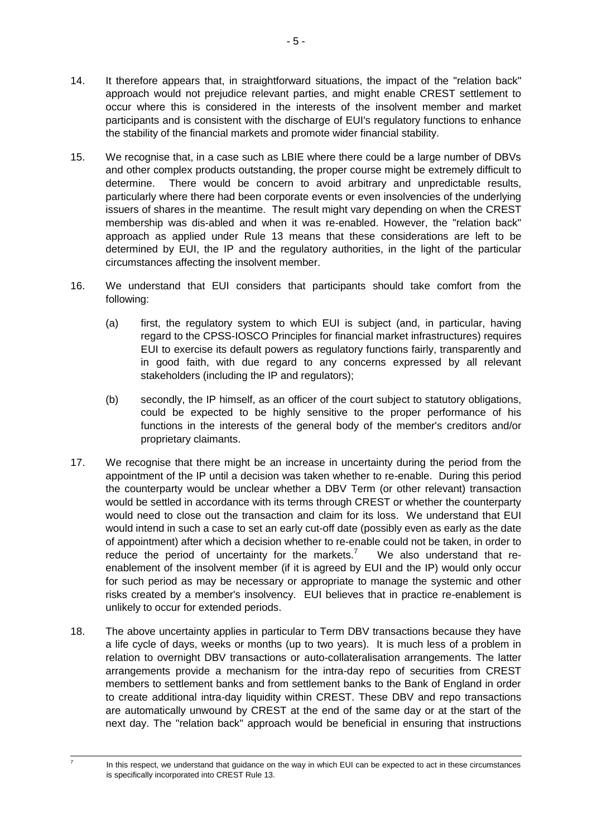- 14. It therefore appears that, in straightforward situations, the impact of the "relation back" approach would not prejudice relevant parties, and might enable CREST settlement to occur where this is considered in the interests of the insolvent member and market participants and is consistent with the discharge of EUI's regulatory functions to enhance the stability of the financial markets and promote wider financial stability.
- 15. We recognise that, in a case such as LBIE where there could be a large number of DBVs and other complex products outstanding, the proper course might be extremely difficult to determine. There would be concern to avoid arbitrary and unpredictable results, particularly where there had been corporate events or even insolvencies of the underlying issuers of shares in the meantime. The result might vary depending on when the CREST membership was dis-abled and when it was re-enabled. However, the "relation back" approach as applied under Rule 13 means that these considerations are left to be determined by EUI, the IP and the regulatory authorities, in the light of the particular circumstances affecting the insolvent member.
- 16. We understand that EUI considers that participants should take comfort from the following:
	- (a) first, the regulatory system to which EUI is subject (and, in particular, having regard to the CPSS-IOSCO Principles for financial market infrastructures) requires EUI to exercise its default powers as regulatory functions fairly, transparently and in good faith, with due regard to any concerns expressed by all relevant stakeholders (including the IP and regulators);
	- (b) secondly, the IP himself, as an officer of the court subject to statutory obligations, could be expected to be highly sensitive to the proper performance of his functions in the interests of the general body of the member's creditors and/or proprietary claimants.
- 17. We recognise that there might be an increase in uncertainty during the period from the appointment of the IP until a decision was taken whether to re-enable. During this period the counterparty would be unclear whether a DBV Term (or other relevant) transaction would be settled in accordance with its terms through CREST or whether the counterparty would need to close out the transaction and claim for its loss. We understand that EUI would intend in such a case to set an early cut-off date (possibly even as early as the date of appointment) after which a decision whether to re-enable could not be taken, in order to reduce the period of uncertainty for the markets.<sup>7</sup> We also understand that reenablement of the insolvent member (if it is agreed by EUI and the IP) would only occur for such period as may be necessary or appropriate to manage the systemic and other risks created by a member's insolvency. EUI believes that in practice re-enablement is unlikely to occur for extended periods.
- 18. The above uncertainty applies in particular to Term DBV transactions because they have a life cycle of days, weeks or months (up to two years). It is much less of a problem in relation to overnight DBV transactions or auto-collateralisation arrangements. The latter arrangements provide a mechanism for the intra-day repo of securities from CREST members to settlement banks and from settlement banks to the Bank of England in order to create additional intra-day liquidity within CREST. These DBV and repo transactions are automatically unwound by CREST at the end of the same day or at the start of the next day. The "relation back" approach would be beneficial in ensuring that instructions

 $\overline{a}$ 7

In this respect, we understand that guidance on the way in which EUI can be expected to act in these circumstances is specifically incorporated into CREST Rule 13.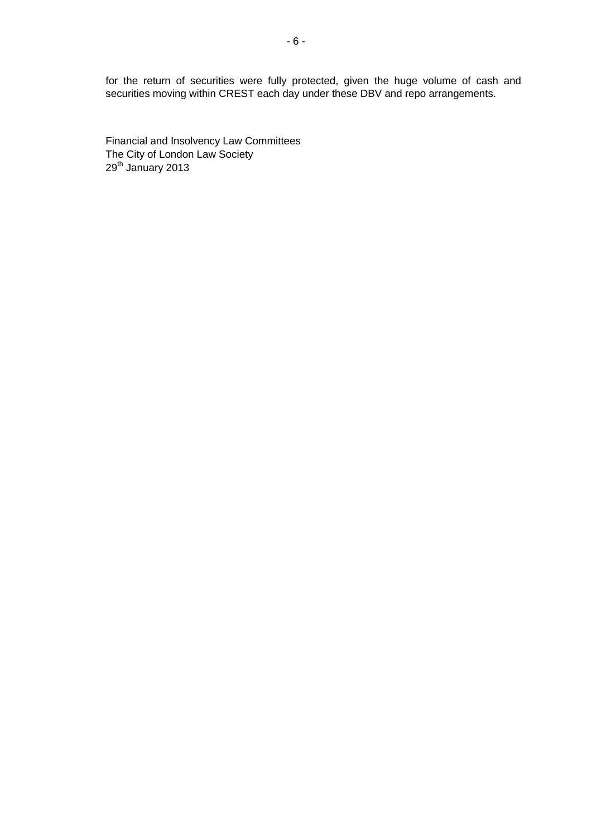for the return of securities were fully protected, given the huge volume of cash and securities moving within CREST each day under these DBV and repo arrangements.

Financial and Insolvency Law Committees The City of London Law Society 29<sup>th</sup> January 2013